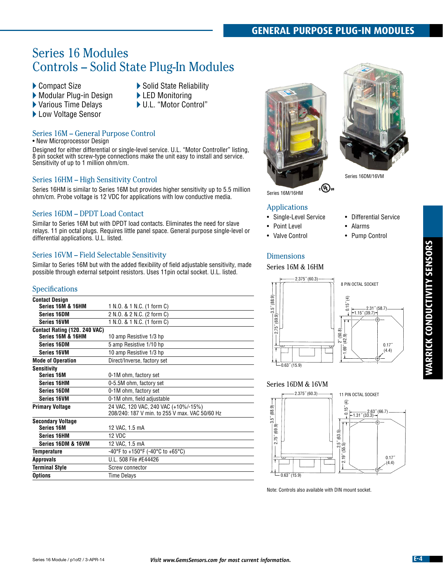# Series 16 Modules Controls – Solid State Plug-In Modules

- 
- Modular Plug-in Design <br>■ Various Time Delays → U.L. "Motor Control"
- $\blacktriangleright$  Various Time Delays
- ▶ Low Voltage Sensor
- Compact Size **Superset Superset State Reliability**<br>• Modular Plug-in Design **CLED** Monitoring
	- -

# Series 16M – General Purpose Control

• New Microprocessor Design

Designed for either differential or single-level service. U.L. "Motor Controller" listing, 8 pin socket with screw-type connections make the unit easy to install and service. Sensitivity of up to 1 million ohm/cm.

#### Series 16HM – High Sensitivity Control

Series 16HM is similar to Series 16M but provides higher sensitivity up to 5.5 million ohm/cm. Probe voltage is 12 VDC for applications with low conductive media.

#### Series 16DM – DPDT Load Contact

Similar to Series 16M but with DPDT load contacts. Eliminates the need for slave relays. 11 pin octal plugs. Requires little panel space. General purpose single-level or differential applications. U.L. listed.

### Series 16VM – Field Selectable Sensitivity

Similar to Series 16M but with the added flexibility of field adjustable sensitivity, made possible through external setpoint resistors. Uses 11pin octal socket. U.L. listed.

#### Specifications

| <b>Contact Design</b>         |                                                |
|-------------------------------|------------------------------------------------|
| Series 16M & 16HM             | 1 N.O. & 1 N.C. (1 form C)                     |
| <b>Series 16DM</b>            | 2 N.O. & 2 N.C. (2 form C)                     |
| <b>Series 16VM</b>            | 1 N.O. & 1 N.C. (1 form C)                     |
| Contact Rating (120. 240 VAC) |                                                |
| Series 16M & 16HM             | 10 amp Resistive 1/3 hp                        |
| <b>Series 16DM</b>            | 5 amp Resistive 1/10 hp                        |
| <b>Series 16VM</b>            | 10 amp Resistive 1/3 hp                        |
| <b>Mode of Operation</b>      | Direct/Inverse, factory set                    |
| <b>Sensitivity</b>            |                                                |
| <b>Series 16M</b>             | 0-1M ohm, factory set                          |
| <b>Series 16HM</b>            | 0-5.5M ohm, factory set                        |
| <b>Series 16DM</b>            | 0-1M ohm, factory set                          |
| <b>Series 16VM</b>            | 0-1M ohm, field adjustable                     |
| <b>Primary Voltage</b>        | 24 VAC, 120 VAC, 240 VAC (+10%/-15%)           |
|                               | 208/240: 187 V min. to 255 V max. VAC 50/60 Hz |
| <b>Secondary Voltage</b>      |                                                |
| <b>Series 16M</b>             | 12 VAC, 1.5 mA                                 |
| <b>Series 16HM</b>            | <b>12 VDC</b>                                  |
| Series 16DM & 16VM            | 12 VAC, 1.5 mA                                 |
| <b>Temperature</b>            | -40°F to +150°F (-40°C to +65°C)               |
| <b>Approvals</b>              | U.L. 508 File #E44426                          |
| <b>Terminal Style</b>         | Screw connector                                |
| <b>Options</b>                | <b>Time Delays</b>                             |
|                               |                                                |





Series 16DM/16VM

Series 16M/16HM

### Applications

- Single-Level Service Differential Service
- Point Level Alarms
- Valve Control Pump Control

# **Dimensions**

#### Series 16M & 16HM



#### Series 16DM & 16VM



Note: Controls also available with DIN mount socket.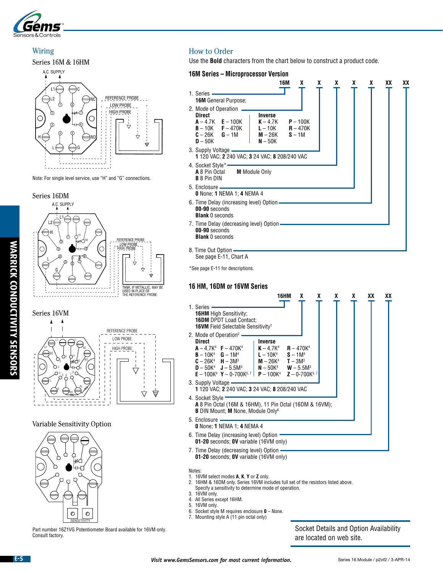

#### Wiring



Note: For single level service, use "H" and "G" connections.



Series 16VM







Part number 16Z1VG Potentiometer Board available for 16VM only. Consult factory.

## How to Order

Use the **Bold** characters from the chart below to construct a product code.

#### **[16M Series – Microprocessor Version](http://ecatalog.gemssensors.com/ecatalog/warrick-controls/en/gemslink/1=16M)**



\*See page E-11 for descriptions.

#### **16 HM, 16DM or 16VM Series**

|                                                                                                                                                                                                                                                                           | 16HM                                                                                                                            | x | x | x | x | XX | XX |
|---------------------------------------------------------------------------------------------------------------------------------------------------------------------------------------------------------------------------------------------------------------------------|---------------------------------------------------------------------------------------------------------------------------------|---|---|---|---|----|----|
| 1. Series<br><b>16HM</b> High Sensitivity;<br><b>16DM</b> DPDT Load Contact:<br><b>16VM</b> Field Selectable Sensitivity <sup>1</sup>                                                                                                                                     |                                                                                                                                 |   |   |   |   |    |    |
| 2. Mode of Operation <sup>2</sup> .<br>Direct<br>Inverse<br>$A - 4.7K4$ F - 470K <sup>4</sup><br>$B - 10K^4$ $G - 1M^4$<br>$C - 26K4$ H $- 3M3$<br>$D - 50K^4$ $J - 5.5M^3$  <br>$E - 100K^4$ Y - 0-700K <sup>5,7</sup>   P - 100K <sup>4</sup> Z - 0-700K <sup>5,7</sup> | $K - 4.7K4$ R - 470K <sup>4</sup><br>$L - 10K4$ S - 1M <sup>4</sup><br>$M - 26K4$ T - 3M <sup>3</sup><br>$N - 50K4$ $W - 5.5M3$ |   |   |   |   |    |    |
| 3. Supply Voltage<br>1 120 VAC; 2 240 VAC; 3 24 VAC; 8 208/240 VAC                                                                                                                                                                                                        |                                                                                                                                 |   |   |   |   |    |    |
| 4. Socket Style<br><b>A</b> 8 Pin Octal (16M & 16HM), 11 Pin Octal (16DM & 16VM);<br><b>B</b> DIN Mount; M None, Module Only <sup>6</sup>                                                                                                                                 |                                                                                                                                 |   |   |   |   |    |    |
| 5. Enclosure =<br>0 None: 1 NEMA 1: 4 NEMA 4                                                                                                                                                                                                                              |                                                                                                                                 |   |   |   |   |    |    |
| 6. Time Delay (increasing level) Option<br><b>01-20</b> seconds; <b>OV</b> variable (16VM only)                                                                                                                                                                           |                                                                                                                                 |   |   |   |   |    |    |
| 7. Time Delay (decreasing level) Option -<br>01-20 seconds; OV variable (16VM only)                                                                                                                                                                                       |                                                                                                                                 |   |   |   |   |    |    |

Notes:

- 1. 16VM select modes **A**, **K**, **Y** or **Z** only.
- 2. 16HM & 16DM only. Series 16VM includes full set of the resistors listed above. Specify a sensitivity to determine mode of operation.
- 3. 16VM only. All Series except 16HM.
- 5. 16VM only.
- 6. Socket style M requires enclosure **0** None.
- 7. Mounting style A (11 pin octal only)

Socket Details and Option Availability are located on web site.